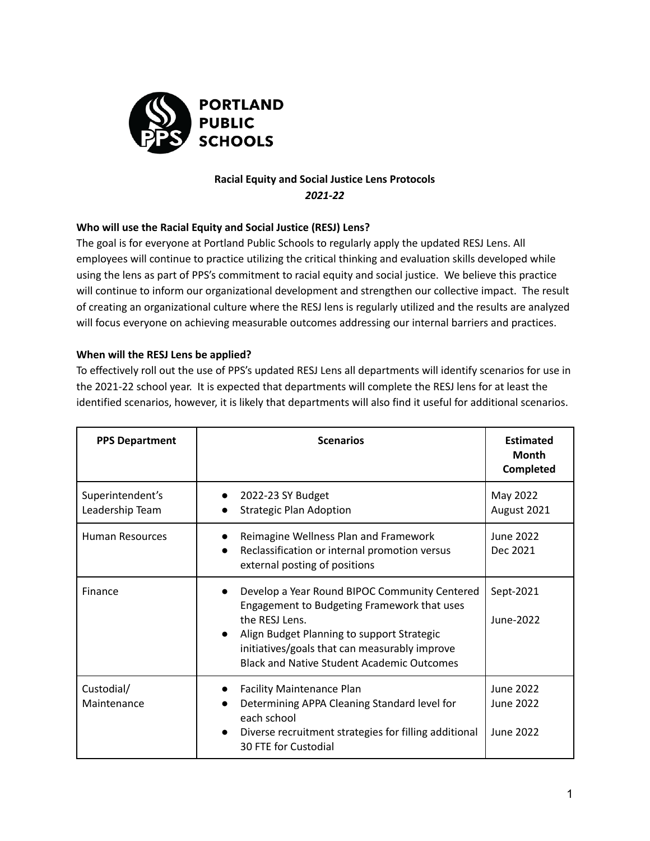

## **Racial Equity and Social Justice Lens Protocols** *2021-22*

## **Who will use the Racial Equity and Social Justice (RESJ) Lens?**

The goal is for everyone at Portland Public Schools to regularly apply the updated RESJ Lens. All employees will continue to practice utilizing the critical thinking and evaluation skills developed while using the lens as part of PPS's commitment to racial equity and social justice. We believe this practice will continue to inform our organizational development and strengthen our collective impact. The result of creating an organizational culture where the RESJ lens is regularly utilized and the results are analyzed will focus everyone on achieving measurable outcomes addressing our internal barriers and practices.

## **When will the RESJ Lens be applied?**

To effectively roll out the use of PPS's updated RESJ Lens all departments will identify scenarios for use in the 2021-22 school year. It is expected that departments will complete the RESJ lens for at least the identified scenarios, however, it is likely that departments will also find it useful for additional scenarios.

| <b>PPS Department</b>               | <b>Scenarios</b>                                                                                                                                                                                                                                                   | <b>Estimated</b><br><b>Month</b><br>Completed |
|-------------------------------------|--------------------------------------------------------------------------------------------------------------------------------------------------------------------------------------------------------------------------------------------------------------------|-----------------------------------------------|
| Superintendent's<br>Leadership Team | 2022-23 SY Budget<br><b>Strategic Plan Adoption</b>                                                                                                                                                                                                                | May 2022<br>August 2021                       |
| <b>Human Resources</b>              | Reimagine Wellness Plan and Framework<br>Reclassification or internal promotion versus<br>$\bullet$<br>external posting of positions                                                                                                                               | June 2022<br>Dec 2021                         |
| Finance                             | Develop a Year Round BIPOC Community Centered<br>Engagement to Budgeting Framework that uses<br>the RFSJ Lens.<br>Align Budget Planning to support Strategic<br>initiatives/goals that can measurably improve<br><b>Black and Native Student Academic Outcomes</b> | Sept-2021<br>June-2022                        |
| Custodial/<br>Maintenance           | <b>Facility Maintenance Plan</b><br>Determining APPA Cleaning Standard level for<br>each school<br>Diverse recruitment strategies for filling additional<br>$\bullet$<br>30 FTE for Custodial                                                                      | June 2022<br>June 2022<br>June 2022           |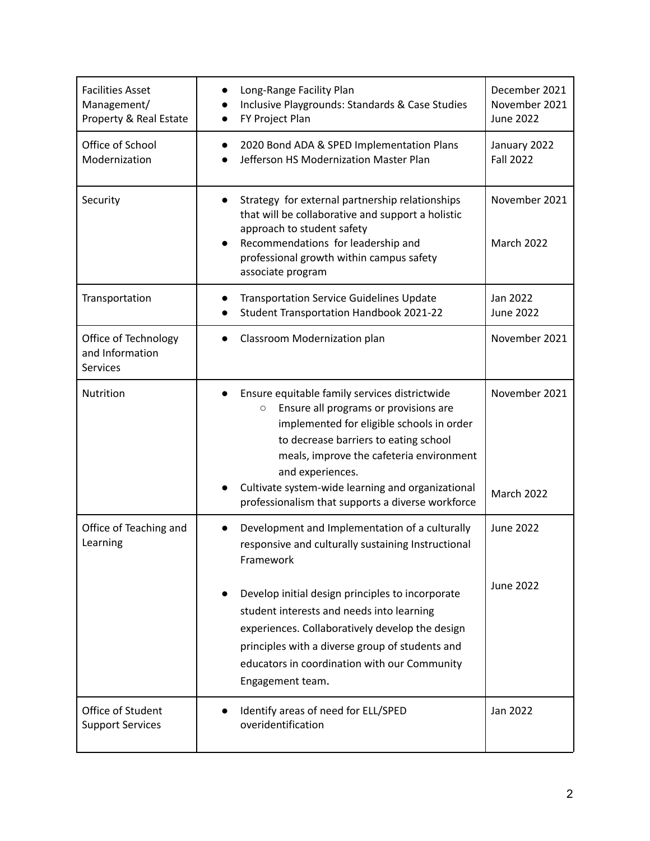| <b>Facilities Asset</b><br>Management/<br>Property & Real Estate | Long-Range Facility Plan<br>Inclusive Playgrounds: Standards & Case Studies<br>FY Project Plan<br>$\bullet$                                                                                                                                                                                                                                                          | December 2021<br>November 2021<br><b>June 2022</b> |
|------------------------------------------------------------------|----------------------------------------------------------------------------------------------------------------------------------------------------------------------------------------------------------------------------------------------------------------------------------------------------------------------------------------------------------------------|----------------------------------------------------|
| Office of School<br>Modernization                                | 2020 Bond ADA & SPED Implementation Plans<br>Jefferson HS Modernization Master Plan                                                                                                                                                                                                                                                                                  | January 2022<br><b>Fall 2022</b>                   |
| Security                                                         | Strategy for external partnership relationships<br>$\bullet$<br>that will be collaborative and support a holistic<br>approach to student safety<br>Recommendations for leadership and<br>professional growth within campus safety<br>associate program                                                                                                               | November 2021<br>March 2022                        |
| Transportation                                                   | <b>Transportation Service Guidelines Update</b><br><b>Student Transportation Handbook 2021-22</b>                                                                                                                                                                                                                                                                    | Jan 2022<br><b>June 2022</b>                       |
| Office of Technology<br>and Information<br><b>Services</b>       | Classroom Modernization plan                                                                                                                                                                                                                                                                                                                                         | November 2021                                      |
| Nutrition                                                        | Ensure equitable family services districtwide<br>Ensure all programs or provisions are<br>$\bigcirc$<br>implemented for eligible schools in order<br>to decrease barriers to eating school<br>meals, improve the cafeteria environment<br>and experiences.<br>Cultivate system-wide learning and organizational<br>professionalism that supports a diverse workforce | November 2021<br><b>March 2022</b>                 |
| Office of Teaching and<br>Learning                               | Development and Implementation of a culturally<br>$\bullet$<br>responsive and culturally sustaining Instructional<br>Framework                                                                                                                                                                                                                                       | <b>June 2022</b>                                   |
|                                                                  | Develop initial design principles to incorporate<br>student interests and needs into learning<br>experiences. Collaboratively develop the design<br>principles with a diverse group of students and<br>educators in coordination with our Community<br>Engagement team.                                                                                              | <b>June 2022</b>                                   |
| Office of Student<br><b>Support Services</b>                     | Identify areas of need for ELL/SPED<br>overidentification                                                                                                                                                                                                                                                                                                            | Jan 2022                                           |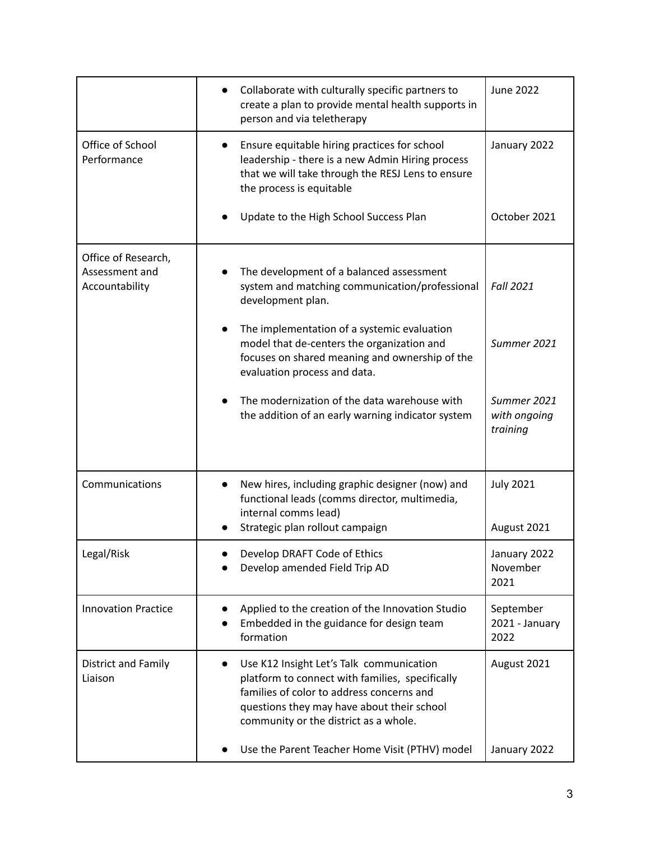|                                                         | Collaborate with culturally specific partners to<br>create a plan to provide mental health supports in<br>person and via teletherapy                                                                                                         | <b>June 2022</b>                        |
|---------------------------------------------------------|----------------------------------------------------------------------------------------------------------------------------------------------------------------------------------------------------------------------------------------------|-----------------------------------------|
| Office of School<br>Performance                         | Ensure equitable hiring practices for school<br>$\bullet$<br>leadership - there is a new Admin Hiring process<br>that we will take through the RESJ Lens to ensure<br>the process is equitable                                               | January 2022                            |
|                                                         | Update to the High School Success Plan                                                                                                                                                                                                       | October 2021                            |
| Office of Research,<br>Assessment and<br>Accountability | The development of a balanced assessment<br>system and matching communication/professional<br>development plan.                                                                                                                              | <b>Fall 2021</b>                        |
|                                                         | The implementation of a systemic evaluation<br>model that de-centers the organization and<br>focuses on shared meaning and ownership of the<br>evaluation process and data.                                                                  | Summer 2021                             |
|                                                         | The modernization of the data warehouse with<br>the addition of an early warning indicator system                                                                                                                                            | Summer 2021<br>with ongoing<br>training |
| Communications                                          | New hires, including graphic designer (now) and<br>functional leads (comms director, multimedia,<br>internal comms lead)<br>Strategic plan rollout campaign                                                                                  | <b>July 2021</b><br>August 2021         |
| Legal/Risk                                              | Develop DRAFT Code of Ethics<br>Develop amended Field Trip AD                                                                                                                                                                                | January 2022<br>November<br>2021        |
| <b>Innovation Practice</b>                              | Applied to the creation of the Innovation Studio<br>Embedded in the guidance for design team<br>formation                                                                                                                                    | September<br>2021 - January<br>2022     |
| District and Family<br>Liaison                          | Use K12 Insight Let's Talk communication<br>$\bullet$<br>platform to connect with families, specifically<br>families of color to address concerns and<br>questions they may have about their school<br>community or the district as a whole. | August 2021                             |
|                                                         | Use the Parent Teacher Home Visit (PTHV) model                                                                                                                                                                                               | January 2022                            |